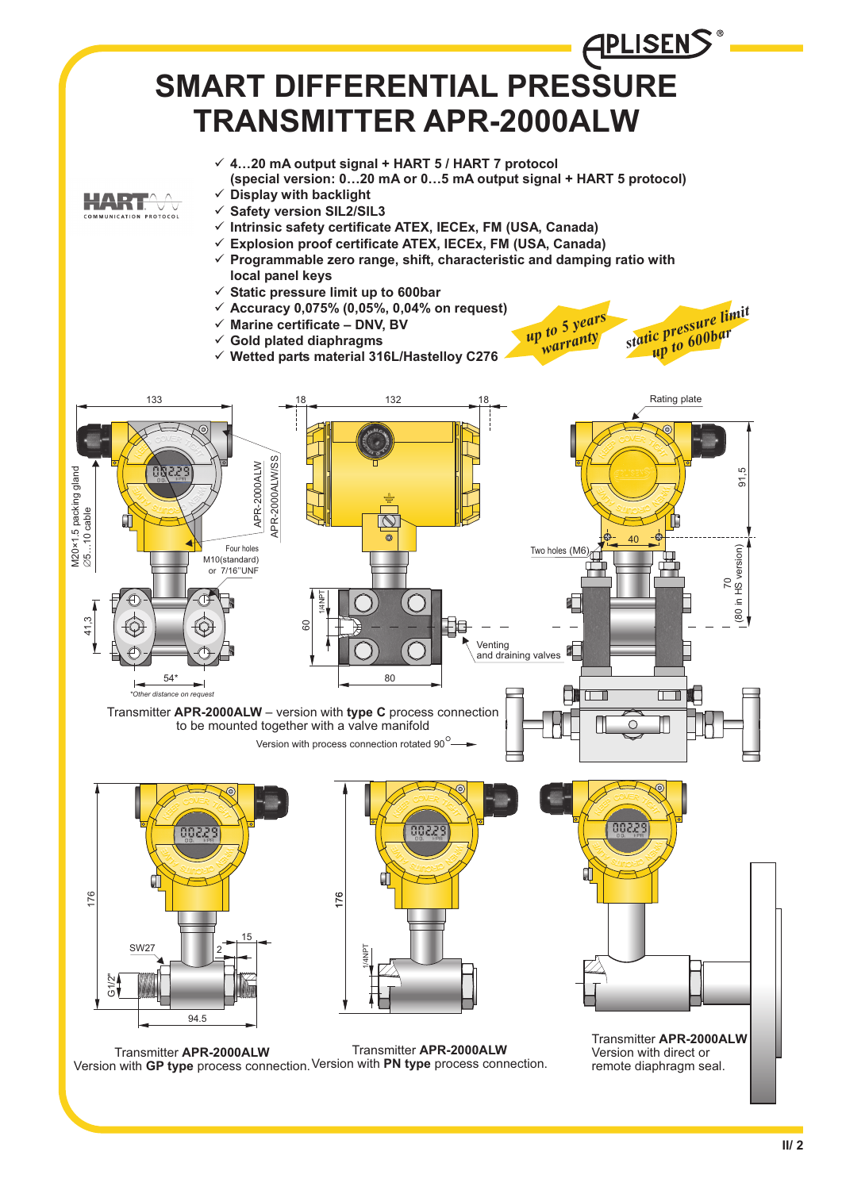







Transmitter **APR-2000ALW** Version with **GP type** process connection. <sup>Version with **PN type** process connection.</sup> Transmitter **APR-2000ALW**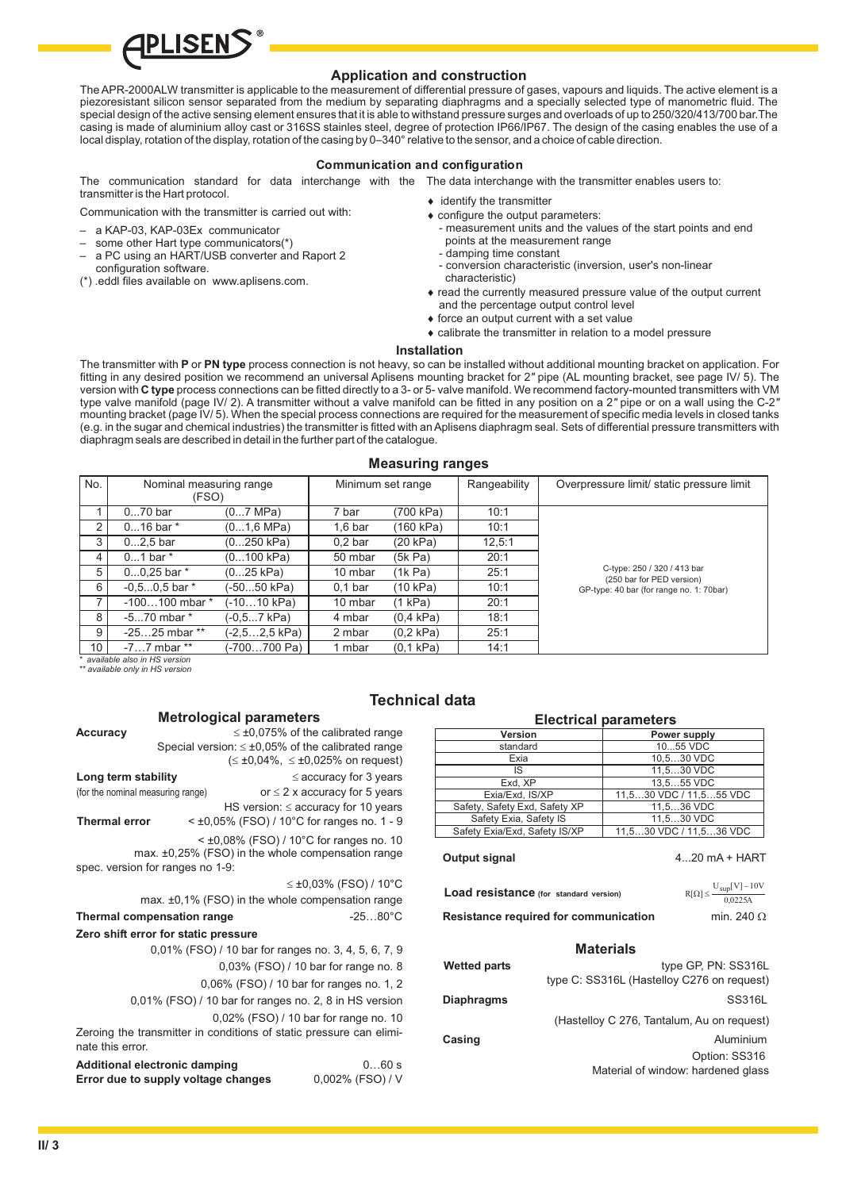

# **Application and construction**

The APR-2000ALW transmitter is applicable to the measurement of differential pressure of gases, vapours and liquids. The active element is a piezoresistant silicon sensor separated from the medium by separating diaphragms and a specially selected type of manometric fluid. The special design of the active sensing element ensures that it is able to withstand pressure surges and overloads of up to 250/320/413/700 bar.The casing is made of aluminium alloy cast or 316SS stainles steel, degree of protection IP66/IP67. The design of the casing enables the use of a local display, rotation of the display, rotation of the casing by 0–340° relative to the sensor, and a choice of cable direction.

### **Communication and configuration**

The communication standard for data interchange with the The data interchange with the transmitter enables users to: transmitter is the Hart protocol.

Communication with the transmitter is carried out with:

- a KAP-03, KAP-03Ex communicator
- some other Hart type communicators(\*)
- a PC using an HART/USB converter and Raport 2 configuration software.
- (\*) .eddl files available on www.aplisens.com.
- identify the transmitter
- configure the output parameters:
- measurement units and the values of the start points and end points at the measurement range
- damping time constant
- conversion characteristic (inversion, user's non-linear characteristic)
- read the currently measured pressure value of the output current and the percentage output control level
- force an output current with a set value
- calibrate the transmitter in relation to a model pressure

## **Installation**

The transmitter with P or PN type process connection is not heavy, so can be installed without additional mounting bracket on application. For fitting in any desired position we recommend an universal Aplisens mounting bracket for 2" pipe (AL mounting bracket, see page IV/ 5). The version with C type process connections can be fitted directly to a 3- or 5- valve manifold. We recommend factory-mounted transmitters with VM type valve manifold (page IV/ 2). A transmitter without a valve manifold can be fitted in any position on a 2" pipe or on a wall using the C-2' mounting bracket (page IV/ 5). When the special process connections are required for the measurement of specific media levels in closed tanks (e.g. in the sugar and chemical industries) the transmitter is fitted with an Aplisens diaphragm seal. Sets of differential pressure transmitters with diaphragm seals are described in detail in the further part of the catalogue.

### **Measuring ranges**

| No.                          | Nominal measuring range         |                      | Minimum set range  |                     | Rangeability | Overpressure limit/ static pressure limit                |  |  |  |
|------------------------------|---------------------------------|----------------------|--------------------|---------------------|--------------|----------------------------------------------------------|--|--|--|
|                              | (FSO)                           |                      |                    |                     |              |                                                          |  |  |  |
|                              | $070$ bar                       | $(07$ MPa)           | 7 bar              | (700 kPa)           | 10:1         |                                                          |  |  |  |
| 2                            | $016$ bar $*$                   | $(01.6 \text{ MPa})$ | $1,6$ bar          | (160 kPa)           | 10:1         |                                                          |  |  |  |
| 3                            | $02.5$ bar                      | (0250 kPa)           | 0.2 <sub>bar</sub> | (20 kPa)            | 12.5:1       |                                                          |  |  |  |
| 4                            | $01$ bar $*$                    | (0100 kPa)           | 50 mbar            | (5k Pa)             | 20:1         |                                                          |  |  |  |
| 5                            | $00.25$ bar $*$                 | (025 kPa)            | 10 mbar            | (1k Pa)             | 25:1         | C-type: 250 / 320 / 413 bar<br>(250 bar for PED version) |  |  |  |
| 6                            | $-0.50.5$ bar $*$               | -50…50 kPa)          | 0.1 <sub>bar</sub> | (10 kPa)            | 10:1         | GP-type: 40 bar (for range no. 1: 70bar)                 |  |  |  |
|                              | $-100100$ mbar $*$              | (-1010 kPa)          | 10 mbar            | (1 kPa)             | 20:1         |                                                          |  |  |  |
| 8                            | $-570$ mbar $*$                 | (-0,5…7 kPa)         | 4 mbar             | $(0.4 \text{ kPa})$ | 18:1         |                                                          |  |  |  |
| 9                            | $-2525$ mbar **                 | (-2,5…2,5 kPa)       | 2 mbar             | $(0.2$ kPa)         | 25:1         |                                                          |  |  |  |
| 10 <sup>1</sup>              | $-77$ mbar $**$                 | (-700700 Pa)         | 1 mbar             | (0.1 kPa)           | 14:1         |                                                          |  |  |  |
| available also in HS version |                                 |                      |                    |                     |              |                                                          |  |  |  |
|                              | ** available only in HS version |                      |                    |                     |              |                                                          |  |  |  |

# **Technica**

|                                      | mon orogroaf paramonoro |                                                                     |
|--------------------------------------|-------------------------|---------------------------------------------------------------------|
| Accuracy                             |                         | $\leq \pm 0.075\%$ of the calibrated range                          |
|                                      |                         | Special version: $\leq \pm 0.05\%$ of the calibrated range          |
|                                      |                         | $(\leq \pm 0.04\%, \leq \pm 0.025\%$ on request)                    |
| Long term stability                  |                         | $\leq$ accuracy for 3 years                                         |
| (for the nominal measuring range)    |                         | or $\leq$ 2 x accuracy for 5 years                                  |
|                                      |                         | HS version: $\le$ accuracy for 10 years                             |
| <b>Thermal error</b>                 |                         | < ±0,05% (FSO) / 10°C for ranges no. 1 - 9                          |
|                                      |                         | $<$ ±0,08% (FSO) / 10°C for ranges no. 10                           |
|                                      |                         | max. ±0,25% (FSO) in the whole compensation range                   |
| spec. version for ranges no 1-9:     |                         |                                                                     |
|                                      |                         | $\leq \pm 0.03\%$ (FSO) / 10°C                                      |
|                                      |                         | max. ±0,1% (FSO) in the whole compensation range                    |
| Thermal compensation range           |                         | $-2580^{\circ}$ C                                                   |
| Zero shift error for static pressure |                         |                                                                     |
|                                      |                         | 0,01% (FSO) / 10 bar for ranges no. 3, 4, 5, 6, 7, 9                |
|                                      |                         | 0,03% (FSO) / 10 bar for range no. 8                                |
|                                      |                         | 0,06% (FSO) / 10 bar for ranges no. 1, 2                            |
|                                      |                         | 0,01% (FSO) / 10 bar for ranges no. 2, 8 in HS version              |
|                                      |                         | 0,02% (FSO) / 10 bar for range no. 10                               |
|                                      |                         | Zeroing the transmitter in conditions of static pressure can elimi- |
| nate this error.                     |                         |                                                                     |
| Additional electronic damping        |                         | 060s                                                                |
| Error due to supply voltage changes  |                         | $0.002\%$ (FSO) / V                                                 |

**Metrological parameters**

| ıl data                                                                                            |                              |                         |                                            |  |  |  |
|----------------------------------------------------------------------------------------------------|------------------------------|-------------------------|--------------------------------------------|--|--|--|
|                                                                                                    | <b>Electrical parameters</b> |                         |                                            |  |  |  |
| Version                                                                                            |                              |                         | Power supply                               |  |  |  |
| standard                                                                                           |                              | 1055 VDC                |                                            |  |  |  |
| Exia                                                                                               |                              | 10,530 VDC              |                                            |  |  |  |
| IS                                                                                                 |                              | 11,530 VDC              |                                            |  |  |  |
| Exd, XP                                                                                            |                              | 13,555 VDC              |                                            |  |  |  |
| Exia/Exd, IS/XP                                                                                    |                              | 11,530 VDC / 11,555 VDC |                                            |  |  |  |
| Safety, Safety Exd, Safety XP                                                                      |                              |                         | 11,536 VDC                                 |  |  |  |
| Safety Exia, Safety IS                                                                             |                              |                         | 11,530 VDC                                 |  |  |  |
| Safety Exia/Exd, Safety IS/XP                                                                      |                              |                         | 11,530 VDC / 11,536 VDC                    |  |  |  |
| $R[\Omega] \leq \frac{U_{\text{sup}}[V] - 10V}{0.0225A}$<br>Load resistance (for standard version) |                              |                         |                                            |  |  |  |
| min. 240 $\Omega$<br>Resistance required for communication                                         |                              |                         |                                            |  |  |  |
|                                                                                                    |                              | <b>Materials</b>        |                                            |  |  |  |
| <b>Wetted parts</b>                                                                                |                              |                         | type GP, PN: SS316L                        |  |  |  |
|                                                                                                    |                              |                         | type C: SS316L (Hastelloy C276 on request) |  |  |  |
| SS316L<br><b>Diaphragms</b>                                                                        |                              |                         |                                            |  |  |  |
|                                                                                                    |                              |                         | (Hastelloy C 276, Tantalum, Au on request) |  |  |  |
| Casing                                                                                             |                              |                         | Aluminium                                  |  |  |  |
|                                                                                                    |                              |                         | Option: SS316                              |  |  |  |
|                                                                                                    |                              |                         | Material of window: hardened glass         |  |  |  |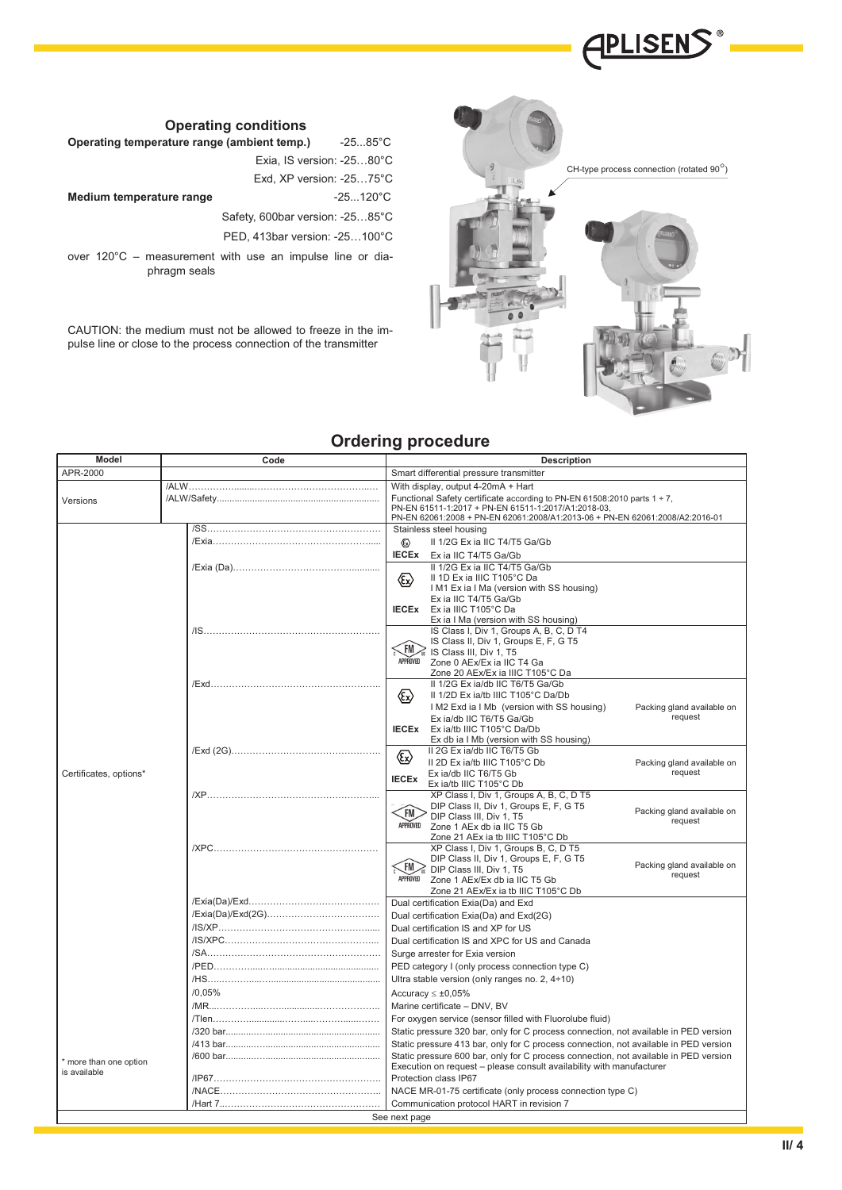

# CH-type process connection (rotated  $90^{\circ}$ )

# **Ordering procedure**

| Model                  | Code   | <b>Description</b>                                                                                                                                                                                                                                          |  |  |  |  |  |
|------------------------|--------|-------------------------------------------------------------------------------------------------------------------------------------------------------------------------------------------------------------------------------------------------------------|--|--|--|--|--|
| APR-2000               |        | Smart differential pressure transmitter                                                                                                                                                                                                                     |  |  |  |  |  |
| Versions               |        | With display, output 4-20mA + Hart<br>Functional Safety certificate according to PN-EN 61508:2010 parts $1 \div 7$ ,<br>PN-EN 61511-1:2017 + PN-EN 61511-1:2017/A1:2018-03,<br>PN-EN 62061:2008 + PN-EN 62061:2008/A1:2013-06 + PN-EN 62061:2008/A2:2016-01 |  |  |  |  |  |
|                        |        | Stainless steel housing                                                                                                                                                                                                                                     |  |  |  |  |  |
|                        |        | II 1/2G Ex ia IIC T4/T5 Ga/Gb<br>Ex)                                                                                                                                                                                                                        |  |  |  |  |  |
|                        |        | <b>IECEX</b><br>Ex ia IIC T4/T5 Ga/Gb                                                                                                                                                                                                                       |  |  |  |  |  |
|                        |        | II 1/2G Ex ia IIC T4/T5 Ga/Gb                                                                                                                                                                                                                               |  |  |  |  |  |
|                        |        | II 1D Ex ia IIIC T105°C Da<br>I M1 Ex ia I Ma (version with SS housing)                                                                                                                                                                                     |  |  |  |  |  |
|                        |        | Ex ia IIC T4/T5 Ga/Gb                                                                                                                                                                                                                                       |  |  |  |  |  |
|                        |        | <b>IECEX</b><br>Ex ia IIIC T105°C Da                                                                                                                                                                                                                        |  |  |  |  |  |
|                        |        | Ex ia I Ma (version with SS housing)<br>IS Class I, Div 1, Groups A, B, C, D T4                                                                                                                                                                             |  |  |  |  |  |
|                        |        | IS Class II, Div 1, Groups E, F, G T5                                                                                                                                                                                                                       |  |  |  |  |  |
|                        |        | <b>FM</b><br>IS Class III, Div 1, T5<br>APPROVED                                                                                                                                                                                                            |  |  |  |  |  |
|                        |        | Zone 0 AEx/Ex ia IIC T4 Ga<br>Zone 20 AEx/Ex ia IIIC T105°C Da                                                                                                                                                                                              |  |  |  |  |  |
|                        |        | II 1/2G Ex ia/db IIC T6/T5 Ga/Gb                                                                                                                                                                                                                            |  |  |  |  |  |
|                        |        | 《Ex》<br>II 1/2D Ex ia/tb IIIC T105°C Da/Db                                                                                                                                                                                                                  |  |  |  |  |  |
|                        |        | I M2 Exd ia I Mb (version with SS housing)<br>Packing gland available on<br>request                                                                                                                                                                         |  |  |  |  |  |
|                        |        | Ex ia/db IIC T6/T5 Ga/Gb<br><b>IECEX</b><br>Ex ja/tb IIIC T105°C Da/Db                                                                                                                                                                                      |  |  |  |  |  |
|                        |        | Ex db ia I Mb (version with SS housing)                                                                                                                                                                                                                     |  |  |  |  |  |
|                        |        | II 2G Ex ia/db IIC T6/T5 Gb<br>$\langle \widehat{\mathbb{R}} \rangle$                                                                                                                                                                                       |  |  |  |  |  |
| Certificates, options* |        | Il 2D Ex ia/tb IIIC T105°C Db<br>Packing gland available on<br>request<br>Ex ia/db IIC T6/T5 Gb                                                                                                                                                             |  |  |  |  |  |
|                        |        | <b>IECEX</b><br>Ex ia/tb IIIC T105°C Db                                                                                                                                                                                                                     |  |  |  |  |  |
|                        |        | XP Class I, Div 1, Groups A, B, C, D T5                                                                                                                                                                                                                     |  |  |  |  |  |
|                        |        | DIP Class II, Div 1, Groups E, F, G T5<br>Packing gland available on<br>FM<br>DIP Class III, Div 1, T5                                                                                                                                                      |  |  |  |  |  |
|                        |        | request<br>APPROVED<br>Zone 1 AEx db ia IIC T5 Gb                                                                                                                                                                                                           |  |  |  |  |  |
|                        |        | Zone 21 AEx ia tb IIIC T105°C Db<br>XP Class I, Div 1, Groups B, C, D T5                                                                                                                                                                                    |  |  |  |  |  |
|                        |        | DIP Class II, Div 1, Groups E, F, G T5                                                                                                                                                                                                                      |  |  |  |  |  |
|                        |        | Packing gland available on<br><b>FM</b><br>DIP Class III, Div 1, T5<br>request                                                                                                                                                                              |  |  |  |  |  |
|                        |        | APPROVED<br>Zone 1 AEx/Ex db ia IIC T5 Gb                                                                                                                                                                                                                   |  |  |  |  |  |
|                        |        | Zone 21 AEx/Ex ia tb IIIC T105°C Db<br>Dual certification Exia(Da) and Exd                                                                                                                                                                                  |  |  |  |  |  |
|                        |        | Dual certification Exia(Da) and Exd(2G)                                                                                                                                                                                                                     |  |  |  |  |  |
|                        |        | Dual certification IS and XP for US                                                                                                                                                                                                                         |  |  |  |  |  |
|                        |        | Dual certification IS and XPC for US and Canada                                                                                                                                                                                                             |  |  |  |  |  |
|                        |        | Surge arrester for Exia version                                                                                                                                                                                                                             |  |  |  |  |  |
|                        |        | PED category I (only process connection type C)                                                                                                                                                                                                             |  |  |  |  |  |
|                        | /0.05% | Ultra stable version (only ranges no. 2, 4+10)                                                                                                                                                                                                              |  |  |  |  |  |
|                        |        | Accuracy $\leq \pm 0.05\%$<br>Marine certificate - DNV, BV                                                                                                                                                                                                  |  |  |  |  |  |
|                        |        | For oxygen service (sensor filled with Fluorolube fluid)                                                                                                                                                                                                    |  |  |  |  |  |
|                        |        | Static pressure 320 bar, only for C process connection, not available in PED version                                                                                                                                                                        |  |  |  |  |  |
|                        |        | Static pressure 413 bar, only for C process connection, not available in PED version                                                                                                                                                                        |  |  |  |  |  |
| * more than one option |        | Static pressure 600 bar, only for C process connection, not available in PED version                                                                                                                                                                        |  |  |  |  |  |
| is available           |        | Execution on request - please consult availability with manufacturer<br>Protection class IP67                                                                                                                                                               |  |  |  |  |  |
|                        |        | NACE MR-01-75 certificate (only process connection type C)                                                                                                                                                                                                  |  |  |  |  |  |
|                        |        | Communication protocol HART in revision 7                                                                                                                                                                                                                   |  |  |  |  |  |
|                        |        | See next page                                                                                                                                                                                                                                               |  |  |  |  |  |

**Operating temperature range (ambient temp.)** -25...85°C

|                          | Exia. IS version: -2580°C           |
|--------------------------|-------------------------------------|
|                          | Exd, $XP$ version: $-2575^{\circ}C$ |
| Medium temperature range | $-25120^{\circ}$ C                  |
|                          |                                     |

Safety, 600bar version: -25…85°C

PED, 413bar version: -25…100°C

over 120°C – measurement with use an impulse line or diaphragm seals

CAUTION: the medium must not be allowed to freeze in the impulse line or close to the process connection of the transmitter